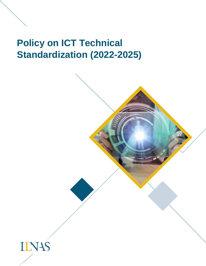# **Policy on ICT Technical Standardization (2022-2025)**

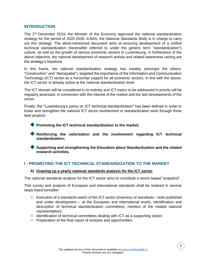#### **INTRODUCTION**

The 2<sup>nd</sup> December 2019, the Minister of the Economy approved the national standardization strategy for the period of 2020-2030. ILNAS, the National Standards Body is in charge to carry out this strategy. The afore-mentioned document aims at ensuring development of a unified technical standardization (hereinafter referred to under the generic term "standardization") culture, as well as the growth of various economic sectors in Luxembourg. In furtherance of the above objective, the national development of research activity and related awareness raising are the strategy's keystone.

In this frame, the national standardization strategy has notably (amongst the others: "Construction" and "Aerospatial"), targeted the importance of the Information and Communication Technology (ICT) sector as a horizontal support for all economic sectors. In line with the above, the ICT sector is already active at the national standardization level.

The ICT domain will be considered in its entirety and ICT topics to be addressed in priority will be regularly assessed, in connection with the interest of the market and the last developments of the sector.

Finally, the "Luxembourg's policy on ICT technical standardization" has been defined in order to foster and strengthen the national ICT sector involvement in standardization work through three lead projects:

**Promoting the ICT technical standardization to the market;** 

- **Reinforcing the valorization and the involvement regarding ICT technical standardization;**
- **Supporting and strengthening the Education about Standardization and the related research activities.**

## **I - PROMOTING THE ICT TECHNICAL STANDARDIZATION TO THE MARKET**

#### **A) Drawing up a yearly national standards analysis for the ICT sector**

The national standards analysis for the ICT sector aims to constitute a sector-based "snapshot".

This survey and analysis of European and international standards shall be realized in several steps listed hereafter:

- Execution of a standards watch of the ICT sector (inventory of standards both published and under development – at the European and international levels; identification and description of technical standardization committees; mention of the related national representation);
- $\blacklozenge$  Identification of technical committees dealing with ICT as a supporting sector;
- **Preparation of the final report of analysis and opportunities.**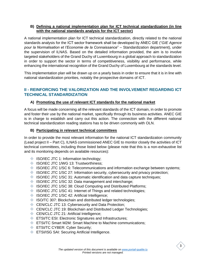#### **B) Defining a national implementation plan for ICT technical standardization (in line with the national standards analysis for the ICT sector)**

A national implementation plan for ICT technical standardization, directly related to the national standards analysis for the ICT sector framework shall be developed by ANEC GIE ("*GIE Agence pour la Normalisation et l'Economie de la Connaissance*" – Standardization department), under the supervision of ILNAS. Based on the detailed information provided, the aim is to involve targeted stakeholders of the Grand Duchy of Luxembourg in a global approach to standardization in order to support the sector in terms of competitiveness, visibility and performance, while enhancing the international recognition of the Grand Duchy of Luxembourg at the standards level.

This implementation plan will be drawn up on a yearly basis in order to ensure that it is in line with national standardization priorities, notably the prospective domains of ICT.

## **II - REINFORCING THE VALORIZATION AND THE INVOLVEMENT REGARDING ICT TECHNICAL STANDARDIZATION**

## **A) Promoting the use of relevant ICT standards for the national market**

A focus will be made concerning all the relevant standards of the ICT domain, in order to promote and foster their use by the national market, specifically through its business activities. ANEC GIE is in charge to establish and carry out this action. The connection with the different national technical standardization reading stations has to be driven commonly with OLN.

### **B) Participating in relevant technical committees**

In order to provide the most relevant information for the national ICT standardization community (Lead project II – Part C), ILNAS commissioned ANEC GIE to monitor closely the activities of ICT technical committees, including those listed below (please note that this is a non-exhaustive list and its monitoring depends on available resources):

- ISO/IEC JTC 1: Information technology;
- ISO/IEC JTC 1/WG 13: Trustworthiness;
- ISO/IEC JTC 1/SC 6: Telecommunications and information exchange between systems;
- $\Diamond$  ISO/IEC JTC 1/SC 27: Information security, cybersecurity and privacy protection;
- $\Diamond$  ISO/IEC JTC 1/SC 31: Automatic identification and data capture techniques;
- ISO/IEC JTC 1/SC 32: Data management and interchange;
- ♦ ISO/IEC JTC 1/SC 38: Cloud Computing and Distributed Platforms;
- ♦ ISO/IEC JTC 1/SC 41: Internet of Things and related technologies;
- ISO/IEC JTC 1/SC 42: Artificial Intelligence;
- ISO/TC 307: Blockchain and distributed ledger technologies;
- CEN/CLC JTC 13: Cybersecurity and Data Protection;
- ♦ CEN/CLC JTC 19: Blockchain and Distributed Ledger Technologies;
- CEN/CLC JTC 21: Artificial Intelligence;
- **ETSI/TC ESI: Electronic Signatures and Infrastructures;**
- **ETSI/TC Smart M2M: Smart Machine to Machine communications;**
- **ETSI/TC CYBER: Cyber Security;**
- **ETSI/ISG SAI: Securing Artificial Intelligence.**

3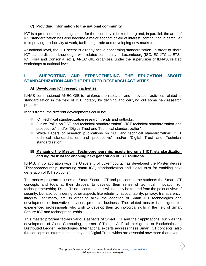## **C) Providing information to the national community**

ICT is a prominent supporting sector for the economy in Luxembourg and, in parallel, the area of ICT standardization has also become a major economic field of interest, contributing in particular to improving productivity at work, facilitating trade and developing new markets.

At national level, the ICT sector is already active concerning standardization. In order to share ICT standardization knowledge, with related community in Luxembourg (ISO/IEC JTC 1; ETSI; ICT Fora and Consortia, etc.), ANEC GIE organizes, under the supervision of ILNAS, related workshops at national level.

# **III - SUPPORTING AND STRENGTHENING THE EDUCATION ABOUT STANDARDIZATION AND THE RELATED RESEARCH ACTIVITIES**

## **A) Developing ICT research activities**

ILNAS commissioned ANEC GIE to reinforce the research and innovation activities related to standardization in the field of ICT, notably by defining and carrying out some new research projects:

In this frame, the different developments could be:

- ICT technical standardization research trends and outlooks;
- ◆ Future PhDs on "ICT and technical standardization", "ICT technical standardization and prospective" and/or "Digital Trust and Technical standardization";
- White Papers or research publications on "ICT and technical standardization", "ICT technical standardization and prospective" and/or "Digital Trust and Technical standardization".

### **B) Managing the Master "Technopreneurship: mastering smart ICT, standardization and digital trust for enabling next generation of ICT solutions"**

ILNAS, in collaboration with the University of Luxembourg, has developed the Master degree "Technopreneurship: mastering smart ICT, standardization and digital trust for enabling next generation of ICT solutions".

The master program focuses on Smart Secure ICT and provides to the students the Smart ICT concepts and tools at their disposal to develop their sense of technical innovation (or technopreneurship). Digital Trust is central, and it will not only be treated from the point of view of security, but also considering other aspects like reliability, accountability, privacy, transparency, integrity, legitimacy, etc. in order to allow the adoption of Smart ICT technologies and development of innovative services, products, business. The related master is designed for experienced professionals who wish to develop their technological skills in the field of Smart Secure ICT and technopreneurship.

This master program tackles various aspects of Smart ICT and their applications, such as the development of Cloud Computing, Internet of Things, Artificial Intelligence or Blockchain and Distributed Ledger Technologies. International experts address these Smart ICT concepts, also the concepts of information security and Digital Trust, which are essential now more than ever.

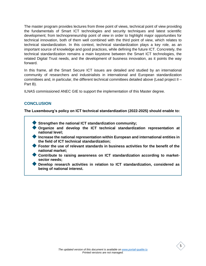The master program provides lectures from three point of views, technical point of view providing the fundamentals of Smart ICT technologies and security techniques and latest scientific development; from technopreneurship point of view in order to highlight major opportunities for technical innovation, both of them well combined with the third point of view, which relates to technical standardization. In this context, technical standardization plays a key role, as an important source of knowledge and good practices, while defining the future ICT. Concretely, the technical standardization remains a main keystone between the Smart ICT technologies, the related Digital Trust needs, and the development of business innovation, as it points the way forward.

In this frame, all the Smart Secure ICT issues are detailed and studied by an international community of researchers and industrialists in international and European standardization committees and, in particular, the different technical committees detailed above (Lead project II – Part B).

ILNAS commissioned ANEC GIE to support the implementation of this Master degree.

## **CONCLUSION**

**The Luxembourg's policy on ICT technical standardization (2022-2025) should enable to:**

- **Strengthen the national ICT standardization community;**
- **Organize and develop the ICT technical standardization representation at national level;**
- **Increase the national representation within European and international entities in the field of ICT technical standardization;**
- **Foster the use of relevant standards in business activities for the benefit of the national market;**
- **Contribute to raising awareness on ICT standardization according to marketsector needs;**
- **Develop research activities in relation to ICT standardization, considered as being of national interest.**